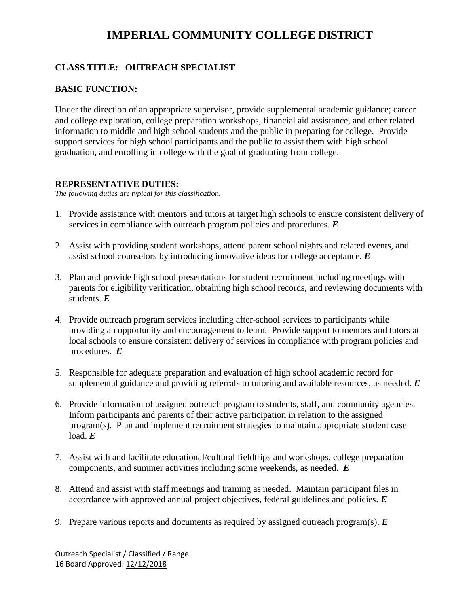# **IMPERIAL COMMUNITY COLLEGE DISTRICT**

# **CLASS TITLE: OUTREACH SPECIALIST**

# **BASIC FUNCTION:**

Under the direction of an appropriate supervisor, provide supplemental academic guidance; career and college exploration, college preparation workshops, financial aid assistance, and other related information to middle and high school students and the public in preparing for college. Provide support services for high school participants and the public to assist them with high school graduation, and enrolling in college with the goal of graduating from college.

## **REPRESENTATIVE DUTIES:**

*The following duties are typical for this classification.*

- 1. Provide assistance with mentors and tutors at target high schools to ensure consistent delivery of services in compliance with outreach program policies and procedures. *E*
- 2. Assist with providing student workshops, attend parent school nights and related events, and assist school counselors by introducing innovative ideas for college acceptance. *E*
- 3. Plan and provide high school presentations for student recruitment including meetings with parents for eligibility verification, obtaining high school records, and reviewing documents with students. *E*
- 4. Provide outreach program services including after-school services to participants while providing an opportunity and encouragement to learn. Provide support to mentors and tutors at local schools to ensure consistent delivery of services in compliance with program policies and procedures. *E*
- 5. Responsible for adequate preparation and evaluation of high school academic record for supplemental guidance and providing referrals to tutoring and available resources, as needed. *E*
- 6. Provide information of assigned outreach program to students, staff, and community agencies. Inform participants and parents of their active participation in relation to the assigned program(s). Plan and implement recruitment strategies to maintain appropriate student case load.  $E$
- 7. Assist with and facilitate educational/cultural fieldtrips and workshops, college preparation components, and summer activities including some weekends, as needed. *E*
- 8. Attend and assist with staff meetings and training as needed. Maintain participant files in accordance with approved annual project objectives, federal guidelines and policies. *E*
- 9. Prepare various reports and documents as required by assigned outreach program(s). *E*

Outreach Specialist / Classified / Range 16 Board Approved: 12/12/2018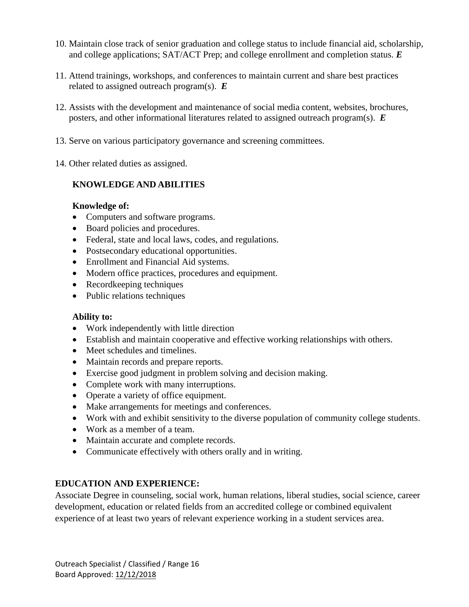- 10. Maintain close track of senior graduation and college status to include financial aid, scholarship, and college applications; SAT/ACT Prep; and college enrollment and completion status. *E*
- 11. Attend trainings, workshops, and conferences to maintain current and share best practices related to assigned outreach program(s). *E*
- 12. Assists with the development and maintenance of social media content, websites, brochures, posters, and other informational literatures related to assigned outreach program(s). *E*
- 13. Serve on various participatory governance and screening committees.
- 14. Other related duties as assigned.

# **KNOWLEDGE AND ABILITIES**

## **Knowledge of:**

- Computers and software programs.
- Board policies and procedures.
- Federal, state and local laws, codes, and regulations.
- Postsecondary educational opportunities.
- Enrollment and Financial Aid systems.
- Modern office practices, procedures and equipment.
- Recordkeeping techniques
- Public relations techniques

#### **Ability to:**

- Work independently with little direction
- Establish and maintain cooperative and effective working relationships with others.
- Meet schedules and timelines.
- Maintain records and prepare reports.
- Exercise good judgment in problem solving and decision making.
- Complete work with many interruptions.
- Operate a variety of office equipment.
- Make arrangements for meetings and conferences.
- Work with and exhibit sensitivity to the diverse population of community college students.
- Work as a member of a team.
- Maintain accurate and complete records.
- Communicate effectively with others orally and in writing.

# **EDUCATION AND EXPERIENCE:**

Associate Degree in counseling, social work, human relations, liberal studies, social science, career development, education or related fields from an accredited college or combined equivalent experience of at least two years of relevant experience working in a student services area.